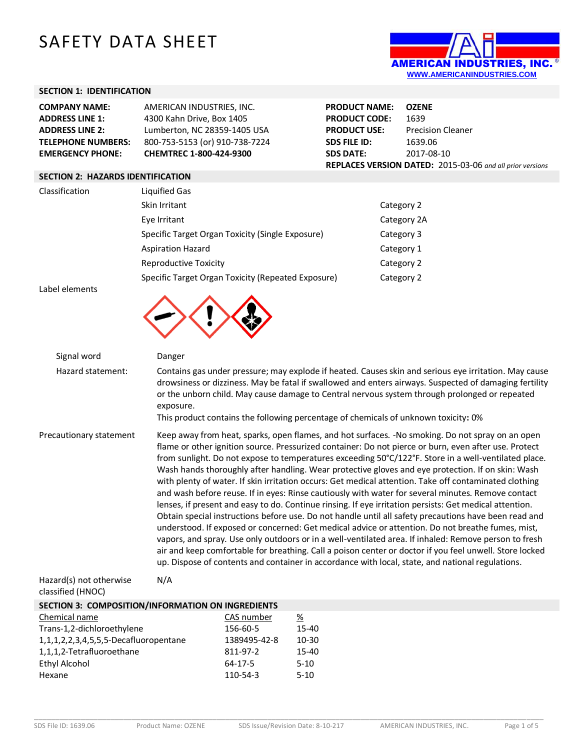# SAFETY DATA SHEET



## **SECTION 1: IDENTIFICATION**

| <b>COMPANY NAME:</b>      | AMERICAN INDUSTRIES. INC.      |
|---------------------------|--------------------------------|
| <b>ADDRESS LINE 1:</b>    | 4300 Kahn Drive, Box 1405      |
| <b>ADDRESS LINE 2:</b>    | Lumberton, NC 28359-1405 USA   |
| <b>TELEPHONE NUMBERS:</b> | 800-753-5153 (or) 910-738-7224 |
| <b>EMERGENCY PHONE:</b>   | CHEMTREC 1-800-424-9300        |

**PRODUCT NAME: OZENE PRODUCT CODE:** 1639 **PRODUCT USE:** Precision Cleaner<br>**SDS FILE ID:** 1639.06 **SDS FILE ID: SDS DATE:** 2017-08-10 **REPLACES VERSION DATED:** 2015-03-06 *and all prior versions*

## **SECTION 2: HAZARDS IDENTIFICATION**

| Classification | Liquified Gas                                      |             |  |
|----------------|----------------------------------------------------|-------------|--|
|                | Skin Irritant                                      | Category 2  |  |
|                | Eye Irritant                                       | Category 2A |  |
|                | Specific Target Organ Toxicity (Single Exposure)   | Category 3  |  |
|                | <b>Aspiration Hazard</b>                           | Category 1  |  |
|                | <b>Reproductive Toxicity</b>                       | Category 2  |  |
|                | Specific Target Organ Toxicity (Repeated Exposure) | Category 2  |  |

Label elements



| Signal word             | Danger                                                                                                                                                                                                                                                                                                                                                                                                                                                                                                                                                                                                                                                                                                                                                                                                                                                                                                                                                                                                                                                                                                                                                                                                                                                                                  |
|-------------------------|-----------------------------------------------------------------------------------------------------------------------------------------------------------------------------------------------------------------------------------------------------------------------------------------------------------------------------------------------------------------------------------------------------------------------------------------------------------------------------------------------------------------------------------------------------------------------------------------------------------------------------------------------------------------------------------------------------------------------------------------------------------------------------------------------------------------------------------------------------------------------------------------------------------------------------------------------------------------------------------------------------------------------------------------------------------------------------------------------------------------------------------------------------------------------------------------------------------------------------------------------------------------------------------------|
| Hazard statement:       | Contains gas under pressure; may explode if heated. Causes skin and serious eye irritation. May cause<br>drowsiness or dizziness. May be fatal if swallowed and enters airways. Suspected of damaging fertility<br>or the unborn child. May cause damage to Central nervous system through prolonged or repeated<br>exposure.<br>This product contains the following percentage of chemicals of unknown toxicity: 0%                                                                                                                                                                                                                                                                                                                                                                                                                                                                                                                                                                                                                                                                                                                                                                                                                                                                    |
| Precautionary statement | Keep away from heat, sparks, open flames, and hot surfaces. -No smoking. Do not spray on an open<br>flame or other ignition source. Pressurized container: Do not pierce or burn, even after use. Protect<br>from sunlight. Do not expose to temperatures exceeding 50°C/122°F. Store in a well-ventilated place.<br>Wash hands thoroughly after handling. Wear protective gloves and eye protection. If on skin: Wash<br>with plenty of water. If skin irritation occurs: Get medical attention. Take off contaminated clothing<br>and wash before reuse. If in eyes: Rinse cautiously with water for several minutes. Remove contact<br>lenses, if present and easy to do. Continue rinsing. If eye irritation persists: Get medical attention.<br>Obtain special instructions before use. Do not handle until all safety precautions have been read and<br>understood. If exposed or concerned: Get medical advice or attention. Do not breathe fumes, mist,<br>vapors, and spray. Use only outdoors or in a well-ventilated area. If inhaled: Remove person to fresh<br>air and keep comfortable for breathing. Call a poison center or doctor if you feel unwell. Store locked<br>up. Dispose of contents and container in accordance with local, state, and national regulations. |

Hazard(s) not otherwise classified (HNOC) N/A

| Chemical name                                  | CAS number   | <u>%</u>  |
|------------------------------------------------|--------------|-----------|
| Trans-1,2-dichloroethylene                     | 156-60-5     | 15-40     |
| 1, 1, 1, 2, 2, 3, 4, 5, 5, 5-Decafluoropentane | 1389495-42-8 | $10 - 30$ |
| 1,1,1,2-Tetrafluoroethane                      | 811-97-2     | $15 - 40$ |
| Ethyl Alcohol                                  | 64-17-5      | $5 - 10$  |
| Hexane                                         | 110-54-3     | $5-10$    |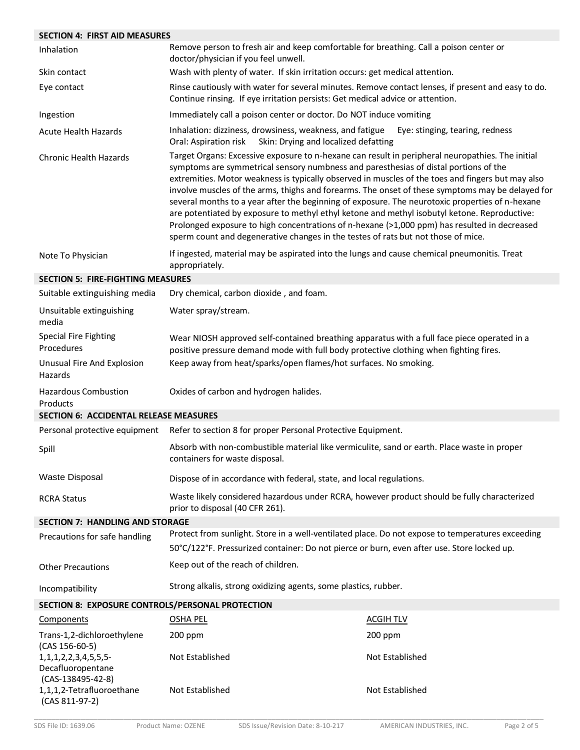| <b>SECTION 4: FIRST AID MEASURES</b>                                      |                                                                                                                                                                                                                                                                                                                                                                                                                                                                                                                                                                                                                                                                                                                                                                                           |                                 |  |
|---------------------------------------------------------------------------|-------------------------------------------------------------------------------------------------------------------------------------------------------------------------------------------------------------------------------------------------------------------------------------------------------------------------------------------------------------------------------------------------------------------------------------------------------------------------------------------------------------------------------------------------------------------------------------------------------------------------------------------------------------------------------------------------------------------------------------------------------------------------------------------|---------------------------------|--|
| Inhalation                                                                | Remove person to fresh air and keep comfortable for breathing. Call a poison center or<br>doctor/physician if you feel unwell.                                                                                                                                                                                                                                                                                                                                                                                                                                                                                                                                                                                                                                                            |                                 |  |
| Skin contact                                                              | Wash with plenty of water. If skin irritation occurs: get medical attention.                                                                                                                                                                                                                                                                                                                                                                                                                                                                                                                                                                                                                                                                                                              |                                 |  |
| Eye contact                                                               | Rinse cautiously with water for several minutes. Remove contact lenses, if present and easy to do.<br>Continue rinsing. If eye irritation persists: Get medical advice or attention.                                                                                                                                                                                                                                                                                                                                                                                                                                                                                                                                                                                                      |                                 |  |
| Ingestion                                                                 | Immediately call a poison center or doctor. Do NOT induce vomiting                                                                                                                                                                                                                                                                                                                                                                                                                                                                                                                                                                                                                                                                                                                        |                                 |  |
| <b>Acute Health Hazards</b>                                               | Inhalation: dizziness, drowsiness, weakness, and fatigue<br>Oral: Aspiration risk<br>Skin: Drying and localized defatting                                                                                                                                                                                                                                                                                                                                                                                                                                                                                                                                                                                                                                                                 | Eye: stinging, tearing, redness |  |
| <b>Chronic Health Hazards</b>                                             | Target Organs: Excessive exposure to n-hexane can result in peripheral neuropathies. The initial<br>symptoms are symmetrical sensory numbness and paresthesias of distal portions of the<br>extremities. Motor weakness is typically observed in muscles of the toes and fingers but may also<br>involve muscles of the arms, thighs and forearms. The onset of these symptoms may be delayed for<br>several months to a year after the beginning of exposure. The neurotoxic properties of n-hexane<br>are potentiated by exposure to methyl ethyl ketone and methyl isobutyl ketone. Reproductive:<br>Prolonged exposure to high concentrations of n-hexane (>1,000 ppm) has resulted in decreased<br>sperm count and degenerative changes in the testes of rats but not those of mice. |                                 |  |
| Note To Physician                                                         | If ingested, material may be aspirated into the lungs and cause chemical pneumonitis. Treat<br>appropriately.                                                                                                                                                                                                                                                                                                                                                                                                                                                                                                                                                                                                                                                                             |                                 |  |
| <b>SECTION 5: FIRE-FIGHTING MEASURES</b>                                  |                                                                                                                                                                                                                                                                                                                                                                                                                                                                                                                                                                                                                                                                                                                                                                                           |                                 |  |
| Suitable extinguishing media                                              | Dry chemical, carbon dioxide, and foam.                                                                                                                                                                                                                                                                                                                                                                                                                                                                                                                                                                                                                                                                                                                                                   |                                 |  |
| Unsuitable extinguishing<br>media                                         | Water spray/stream.                                                                                                                                                                                                                                                                                                                                                                                                                                                                                                                                                                                                                                                                                                                                                                       |                                 |  |
| <b>Special Fire Fighting</b><br>Procedures                                | Wear NIOSH approved self-contained breathing apparatus with a full face piece operated in a<br>positive pressure demand mode with full body protective clothing when fighting fires.                                                                                                                                                                                                                                                                                                                                                                                                                                                                                                                                                                                                      |                                 |  |
| Unusual Fire And Explosion<br>Hazards                                     | Keep away from heat/sparks/open flames/hot surfaces. No smoking.                                                                                                                                                                                                                                                                                                                                                                                                                                                                                                                                                                                                                                                                                                                          |                                 |  |
| <b>Hazardous Combustion</b><br>Products                                   | Oxides of carbon and hydrogen halides.                                                                                                                                                                                                                                                                                                                                                                                                                                                                                                                                                                                                                                                                                                                                                    |                                 |  |
| <b>SECTION 6: ACCIDENTAL RELEASE MEASURES</b>                             |                                                                                                                                                                                                                                                                                                                                                                                                                                                                                                                                                                                                                                                                                                                                                                                           |                                 |  |
| Personal protective equipment                                             | Refer to section 8 for proper Personal Protective Equipment.                                                                                                                                                                                                                                                                                                                                                                                                                                                                                                                                                                                                                                                                                                                              |                                 |  |
| Spill                                                                     | Absorb with non-combustible material like vermiculite, sand or earth. Place waste in proper<br>containers for waste disposal.                                                                                                                                                                                                                                                                                                                                                                                                                                                                                                                                                                                                                                                             |                                 |  |
| <b>Waste Disposal</b>                                                     | Dispose of in accordance with federal, state, and local regulations.                                                                                                                                                                                                                                                                                                                                                                                                                                                                                                                                                                                                                                                                                                                      |                                 |  |
| <b>RCRA Status</b>                                                        | Waste likely considered hazardous under RCRA, however product should be fully characterized<br>prior to disposal (40 CFR 261).                                                                                                                                                                                                                                                                                                                                                                                                                                                                                                                                                                                                                                                            |                                 |  |
| <b>SECTION 7: HANDLING AND STORAGE</b>                                    |                                                                                                                                                                                                                                                                                                                                                                                                                                                                                                                                                                                                                                                                                                                                                                                           |                                 |  |
| Precautions for safe handling                                             | Protect from sunlight. Store in a well-ventilated place. Do not expose to temperatures exceeding                                                                                                                                                                                                                                                                                                                                                                                                                                                                                                                                                                                                                                                                                          |                                 |  |
|                                                                           | 50°C/122°F. Pressurized container: Do not pierce or burn, even after use. Store locked up.                                                                                                                                                                                                                                                                                                                                                                                                                                                                                                                                                                                                                                                                                                |                                 |  |
| <b>Other Precautions</b>                                                  | Keep out of the reach of children.                                                                                                                                                                                                                                                                                                                                                                                                                                                                                                                                                                                                                                                                                                                                                        |                                 |  |
| Incompatibility                                                           | Strong alkalis, strong oxidizing agents, some plastics, rubber.                                                                                                                                                                                                                                                                                                                                                                                                                                                                                                                                                                                                                                                                                                                           |                                 |  |
| SECTION 8: EXPOSURE CONTROLS/PERSONAL PROTECTION                          |                                                                                                                                                                                                                                                                                                                                                                                                                                                                                                                                                                                                                                                                                                                                                                                           |                                 |  |
| Components                                                                | <b>OSHA PEL</b>                                                                                                                                                                                                                                                                                                                                                                                                                                                                                                                                                                                                                                                                                                                                                                           | <b>ACGIH TLV</b>                |  |
| Trans-1,2-dichloroethylene<br>$(CAS 156-60-5)$                            | 200 ppm                                                                                                                                                                                                                                                                                                                                                                                                                                                                                                                                                                                                                                                                                                                                                                                   | 200 ppm                         |  |
| 1, 1, 1, 2, 2, 3, 4, 5, 5, 5-<br>Decafluoropentane<br>$(CAS-138495-42-8)$ | Not Established                                                                                                                                                                                                                                                                                                                                                                                                                                                                                                                                                                                                                                                                                                                                                                           | Not Established                 |  |
| 1,1,1,2-Tetrafluoroethane<br>(CAS 811-97-2)                               | Not Established                                                                                                                                                                                                                                                                                                                                                                                                                                                                                                                                                                                                                                                                                                                                                                           | Not Established                 |  |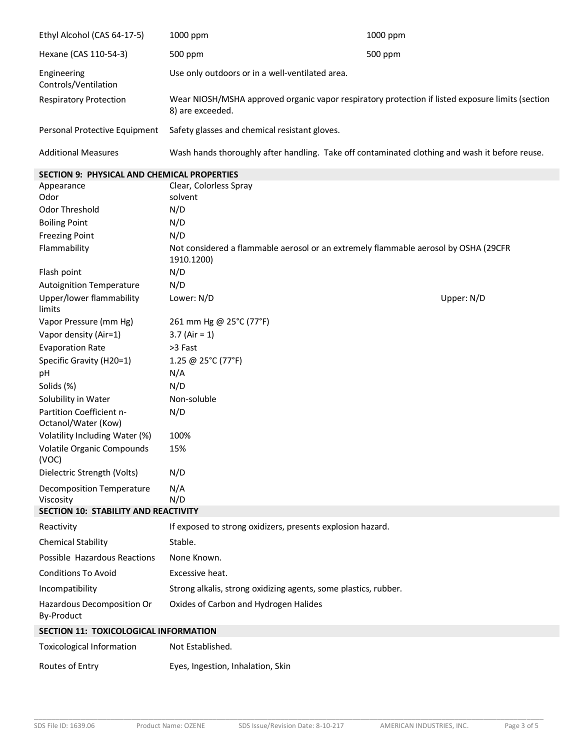| Ethyl Alcohol (CAS 64-17-5)         | 1000 ppm                                                                                                             | $1000$ ppm |
|-------------------------------------|----------------------------------------------------------------------------------------------------------------------|------------|
| Hexane (CAS 110-54-3)               | 500 ppm                                                                                                              | 500 ppm    |
| Engineering<br>Controls/Ventilation | Use only outdoors or in a well-ventilated area.                                                                      |            |
| <b>Respiratory Protection</b>       | Wear NIOSH/MSHA approved organic vapor respiratory protection if listed exposure limits (section<br>8) are exceeded. |            |
| Personal Protective Equipment       | Safety glasses and chemical resistant gloves.                                                                        |            |
| <b>Additional Measures</b>          | Wash hands thoroughly after handling. Take off contaminated clothing and wash it before reuse.                       |            |

# **SECTION 9: PHYSICAL AND CHEMICAL PROPERTIES**

| Appearance                                      | Clear, Colorless Spray                                                                            |            |
|-------------------------------------------------|---------------------------------------------------------------------------------------------------|------------|
| Odor                                            | solvent                                                                                           |            |
| Odor Threshold                                  | N/D                                                                                               |            |
| <b>Boiling Point</b>                            | N/D                                                                                               |            |
| <b>Freezing Point</b>                           | N/D                                                                                               |            |
| Flammability                                    | Not considered a flammable aerosol or an extremely flammable aerosol by OSHA (29CFR<br>1910.1200) |            |
| Flash point                                     | N/D                                                                                               |            |
| <b>Autoignition Temperature</b>                 | N/D                                                                                               |            |
| Upper/lower flammability<br>limits              | Lower: N/D                                                                                        | Upper: N/D |
| Vapor Pressure (mm Hg)                          | 261 mm Hg @ 25°C (77°F)                                                                           |            |
| Vapor density (Air=1)                           | 3.7 (Air = $1$ )                                                                                  |            |
| <b>Evaporation Rate</b>                         | >3 Fast                                                                                           |            |
| Specific Gravity (H20=1)                        | 1.25 @ 25°C (77°F)                                                                                |            |
| рH                                              | N/A                                                                                               |            |
| Solids (%)                                      | N/D                                                                                               |            |
| Solubility in Water                             | Non-soluble                                                                                       |            |
| Partition Coefficient n-<br>Octanol/Water (Kow) | N/D                                                                                               |            |
| Volatility Including Water (%)                  | 100%                                                                                              |            |
| Volatile Organic Compounds<br>(VOC)             | 15%                                                                                               |            |
| Dielectric Strength (Volts)                     | N/D                                                                                               |            |
| Decomposition Temperature<br>Viscosity          | N/A<br>N/D                                                                                        |            |
| <b>SECTION 10: STABILITY AND REACTIVITY</b>     |                                                                                                   |            |
| Reactivity                                      | If exposed to strong oxidizers, presents explosion hazard.                                        |            |
| <b>Chemical Stability</b>                       | Stable.                                                                                           |            |
| Possible Hazardous Reactions                    | None Known.                                                                                       |            |
| <b>Conditions To Avoid</b>                      | Excessive heat.                                                                                   |            |
| Incompatibility                                 | Strong alkalis, strong oxidizing agents, some plastics, rubber.                                   |            |
| Hazardous Decomposition Or<br>By-Product        | Oxides of Carbon and Hydrogen Halides                                                             |            |
| <b>SECTION 11: TOXICOLOGICAL INFORMATION</b>    |                                                                                                   |            |
| <b>Toxicological Information</b>                | Not Established.                                                                                  |            |
| Routes of Entry                                 | Eyes, Ingestion, Inhalation, Skin                                                                 |            |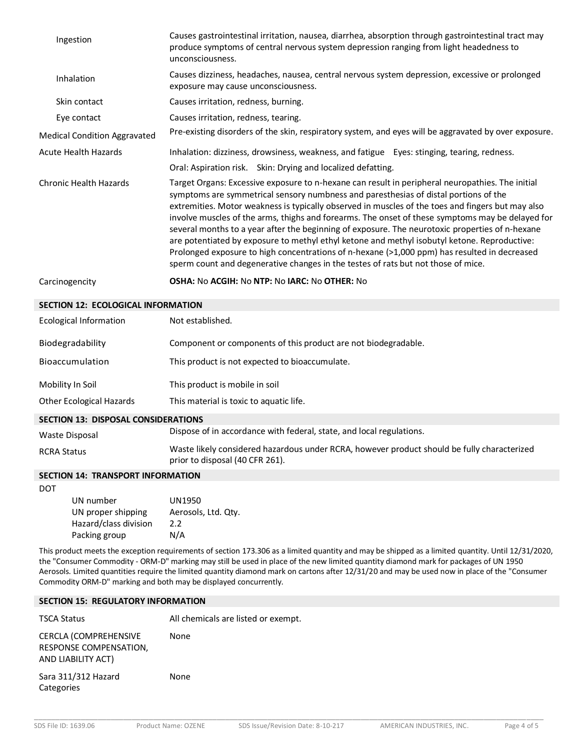| Ingestion                                  | Causes gastrointestinal irritation, nausea, diarrhea, absorption through gastrointestinal tract may<br>produce symptoms of central nervous system depression ranging from light headedness to<br>unconsciousness.                                                                                                                                                                                                                                                                                                                                                                                                                                                                                                                                                                         |
|--------------------------------------------|-------------------------------------------------------------------------------------------------------------------------------------------------------------------------------------------------------------------------------------------------------------------------------------------------------------------------------------------------------------------------------------------------------------------------------------------------------------------------------------------------------------------------------------------------------------------------------------------------------------------------------------------------------------------------------------------------------------------------------------------------------------------------------------------|
| Inhalation                                 | Causes dizziness, headaches, nausea, central nervous system depression, excessive or prolonged<br>exposure may cause unconsciousness.                                                                                                                                                                                                                                                                                                                                                                                                                                                                                                                                                                                                                                                     |
| Skin contact                               | Causes irritation, redness, burning.                                                                                                                                                                                                                                                                                                                                                                                                                                                                                                                                                                                                                                                                                                                                                      |
| Eye contact                                | Causes irritation, redness, tearing.                                                                                                                                                                                                                                                                                                                                                                                                                                                                                                                                                                                                                                                                                                                                                      |
| <b>Medical Condition Aggravated</b>        | Pre-existing disorders of the skin, respiratory system, and eyes will be aggravated by over exposure.                                                                                                                                                                                                                                                                                                                                                                                                                                                                                                                                                                                                                                                                                     |
| <b>Acute Health Hazards</b>                | Inhalation: dizziness, drowsiness, weakness, and fatigue Eyes: stinging, tearing, redness.                                                                                                                                                                                                                                                                                                                                                                                                                                                                                                                                                                                                                                                                                                |
|                                            | Oral: Aspiration risk. Skin: Drying and localized defatting.                                                                                                                                                                                                                                                                                                                                                                                                                                                                                                                                                                                                                                                                                                                              |
| Chronic Health Hazards                     | Target Organs: Excessive exposure to n-hexane can result in peripheral neuropathies. The initial<br>symptoms are symmetrical sensory numbness and paresthesias of distal portions of the<br>extremities. Motor weakness is typically observed in muscles of the toes and fingers but may also<br>involve muscles of the arms, thighs and forearms. The onset of these symptoms may be delayed for<br>several months to a year after the beginning of exposure. The neurotoxic properties of n-hexane<br>are potentiated by exposure to methyl ethyl ketone and methyl isobutyl ketone. Reproductive:<br>Prolonged exposure to high concentrations of n-hexane (>1,000 ppm) has resulted in decreased<br>sperm count and degenerative changes in the testes of rats but not those of mice. |
| Carcinogencity                             | OSHA: No ACGIH: No NTP: No IARC: No OTHER: No                                                                                                                                                                                                                                                                                                                                                                                                                                                                                                                                                                                                                                                                                                                                             |
| <b>SECTION 12: ECOLOGICAL INFORMATION</b>  |                                                                                                                                                                                                                                                                                                                                                                                                                                                                                                                                                                                                                                                                                                                                                                                           |
| <b>Ecological Information</b>              | Not established.                                                                                                                                                                                                                                                                                                                                                                                                                                                                                                                                                                                                                                                                                                                                                                          |
| Biodegradability                           | Component or components of this product are not biodegradable.                                                                                                                                                                                                                                                                                                                                                                                                                                                                                                                                                                                                                                                                                                                            |
| Bioaccumulation                            | This product is not expected to bioaccumulate.                                                                                                                                                                                                                                                                                                                                                                                                                                                                                                                                                                                                                                                                                                                                            |
| Mobility In Soil                           | This product is mobile in soil                                                                                                                                                                                                                                                                                                                                                                                                                                                                                                                                                                                                                                                                                                                                                            |
| <b>Other Ecological Hazards</b>            | This material is toxic to aquatic life.                                                                                                                                                                                                                                                                                                                                                                                                                                                                                                                                                                                                                                                                                                                                                   |
| <b>SECTION 13: DISPOSAL CONSIDERATIONS</b> |                                                                                                                                                                                                                                                                                                                                                                                                                                                                                                                                                                                                                                                                                                                                                                                           |
| Waste Disposal                             | Dispose of in accordance with federal, state, and local regulations.                                                                                                                                                                                                                                                                                                                                                                                                                                                                                                                                                                                                                                                                                                                      |
| <b>RCRA Status</b>                         | Waste likely considered hazardous under RCRA, however product should be fully characterized<br>prior to disposal (40 CFR 261).                                                                                                                                                                                                                                                                                                                                                                                                                                                                                                                                                                                                                                                            |

#### **SECTION 14: TRANSPORT INFORMATION**

DOT

| UN number             | UN1950              |
|-----------------------|---------------------|
| UN proper shipping    | Aerosols, Ltd. Qty. |
| Hazard/class division | 2.2                 |
| Packing group         | N/A                 |

This product meets the exception requirements of section 173.306 as a limited quantity and may be shipped as a limited quantity. Until 12/31/2020, the "Consumer Commodity - ORM-D" marking may still be used in place of the new limited quantity diamond mark for packages of UN 1950 Aerosols. Limited quantities require the limited quantity diamond mark on cartons after 12/31/20 and may be used now in place of the "Consumer Commodity ORM-D" marking and both may be displayed concurrently.

#### **SECTION 15: REGULATORY INFORMATION**

TSCA Status **All chemicals are listed or exempt.** CERCLA (COMPREHENSIVE RESPONSE COMPENSATION, AND LIABILITY ACT) None Sara 311/312 Hazard None

Categories